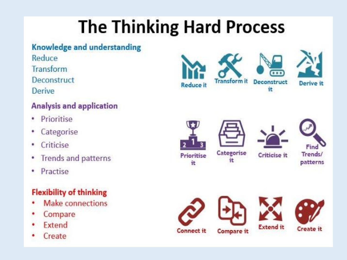#### **The Thinking Hard Process**

#### **Knowledge and understanding**

Reduce Transform Deconstruct Derive

#### **Analysis and application**

- Prioritise  $\bullet$
- Categorise
- Criticise ٠
- **Trends and patterns**
- Practise ۰

#### **Flexibility of thinking**

- Make connections ٠
- Compare
- Extend
- Create





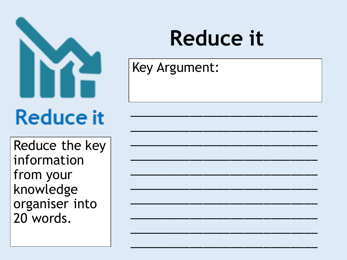

Reduce the key information from your knowledge organiser into 20 words.

## **Reduce it**

Key Argument: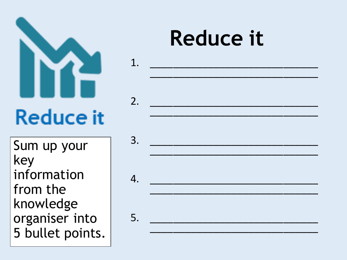

Sum up your key information from the knowledge organiser into 5 bullet points.

### **Reduce it**



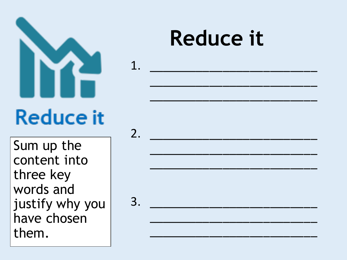

1.

Sum up the content into three key words and justify why you have chosen them.

#### **Reduce it**

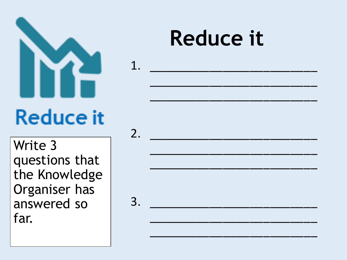

1.

**Reduce it** 



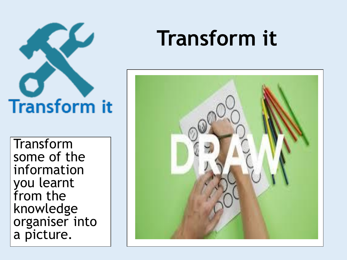

Transform some of the information you learnt from the knowledge organiser into a picture.

#### **Transform it**

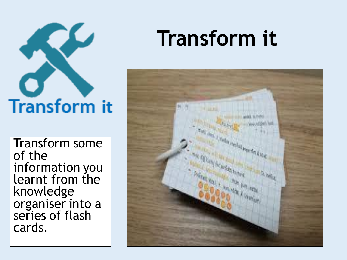# **Transform** it

Transform some of the information you learnt from the knowledge organiser into a series of flash cards.

### **Transform it**

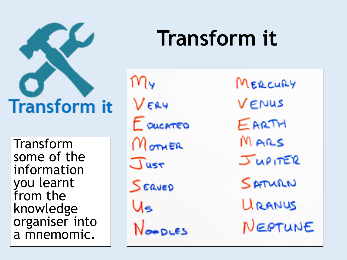## **Transform it**

Transform some of the information you learnt from the knowledge organiser into a mnemomic.

MY VERY E pucarrero Monier Just SERVED Us

**Transform it**

MERCURY VENUS EARTH MARS JUPITER SAMAN URANUS NEOTUNE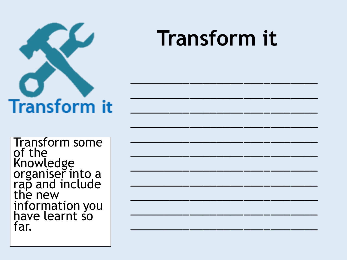

**Transform it** 

**Transform some** of the Knowledge<br>organiser into a<br>rap and include<br>the new information you far.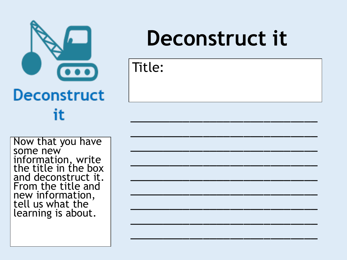

Now that you have some new information, write the title in the box and deconstruct it. From the title and new information, tell us what the learning is about.

### **Deconstruct it**

\_\_\_\_\_\_\_\_\_\_\_\_\_\_\_\_\_\_\_\_\_\_\_\_\_\_\_\_

\_\_\_\_\_\_\_\_\_\_\_\_\_\_\_\_\_\_\_\_\_\_\_\_\_\_\_\_

\_\_\_\_\_\_\_\_\_\_\_\_\_\_\_\_\_\_\_\_\_\_\_\_\_\_\_\_

\_\_\_\_\_\_\_\_\_\_\_\_\_\_\_\_\_\_\_\_\_\_\_\_\_\_\_\_

\_\_\_\_\_\_\_\_\_\_\_\_\_\_\_\_\_\_\_\_\_\_\_\_\_\_\_\_

\_\_\_\_\_\_\_\_\_\_\_\_\_\_\_\_\_\_\_\_\_\_\_\_\_\_\_\_

\_\_\_\_\_\_\_\_\_\_\_\_\_\_\_\_\_\_\_\_\_\_\_\_\_\_\_\_

\_\_\_\_\_\_\_\_\_\_\_\_\_\_\_\_\_\_\_\_\_\_\_\_\_\_\_\_

\_\_\_\_\_\_\_\_\_\_\_\_\_\_\_\_\_\_\_\_\_\_\_\_\_\_\_\_

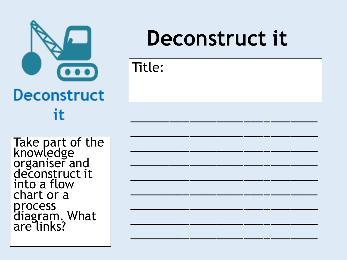

Take part of the<br>knowledge<br>organiser and<br>deconstruct it into a flow chart or a process<br>diagram. What<br>are links?

#### Deconstruct it

| Title: |  |  |  |
|--------|--|--|--|
|        |  |  |  |
|        |  |  |  |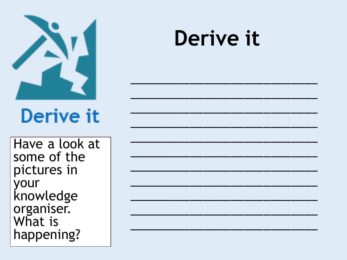

#### Derive it

#### Derive it

Have a look at some of the pictures in your knowledge organiser. What is happening?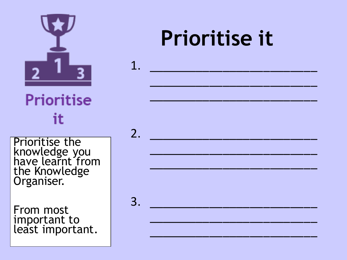

**Prioritise** it

Prioritise the knowledge you have learnt from the Knowledge Organiser.

From most important to least important.

#### **Prioritise it**

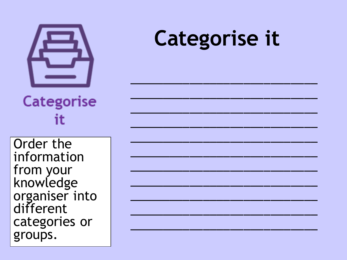

#### **Categorise it**

**Categorise** it

Order the information from your knowledge organiser into different categories or groups.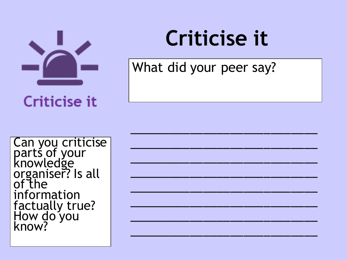

Criticise it

## **Criticise it**

\_\_\_\_\_\_\_\_\_\_\_\_\_\_\_\_\_\_\_\_\_\_\_\_\_\_\_\_

\_\_\_\_\_\_\_\_\_\_\_\_\_\_\_\_\_\_\_\_\_\_\_\_\_\_\_\_

\_\_\_\_\_\_\_\_\_\_\_\_\_\_\_\_\_\_\_\_\_\_\_\_\_\_\_\_

\_\_\_\_\_\_\_\_\_\_\_\_\_\_\_\_\_\_\_\_\_\_\_\_\_\_\_\_

\_\_\_\_\_\_\_\_\_\_\_\_\_\_\_\_\_\_\_\_\_\_\_\_\_\_\_\_

\_\_\_\_\_\_\_\_\_\_\_\_\_\_\_\_\_\_\_\_\_\_\_\_\_\_\_\_

\_\_\_\_\_\_\_\_\_\_\_\_\_\_\_\_\_\_\_\_\_\_\_\_\_\_\_\_

\_\_\_\_\_\_\_\_\_\_\_\_\_\_\_\_\_\_\_\_\_\_\_\_\_\_\_\_

What did your peer say?

Can you criticise parts of your knowledge organiser? Is all of the information factually true? How do you know?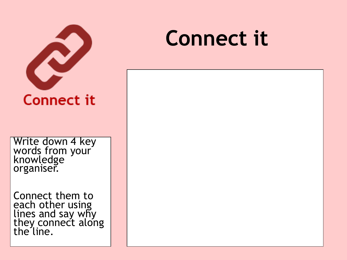

Write down 4 key words from your knowledge organiser.

Connect them to each other using lines and say why they connect along the line.

#### **Connect it**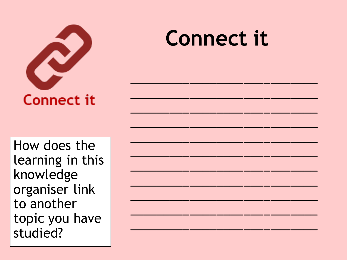

#### **Connect it**

How does the learning in this knowledge organiser link to another topic you have studied?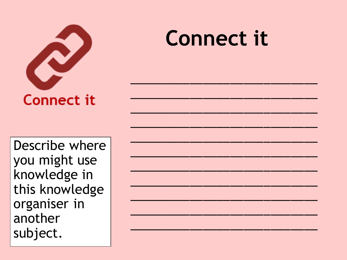

Describe where you might use knowledge in this knowledge organiser in another subject.

#### **Connect it**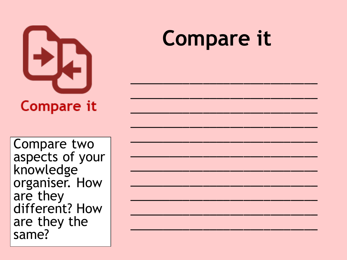

Compare two aspects of your knowledge organiser. How are they different? How are they the same?

## **Compare it**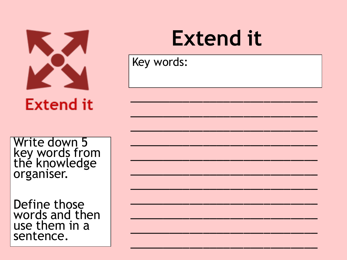

**Extend it** 

Write down 5 key words from<br>the knowledge organiser.

Define those words and then use them in a sentence.

#### **Extend it**

Key words: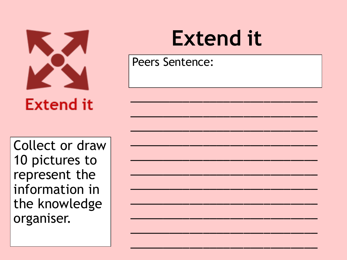

**Extend it** 

Collect or draw 10 pictures to represent the information in the knowledge organiser.

#### **Extend it**

**Peers Sentence:**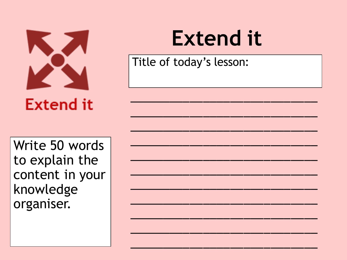

**Extend it** 

#### Write 50 words to explain the content in your knowledge organiser.

#### **Extend it**

Title of today's lesson: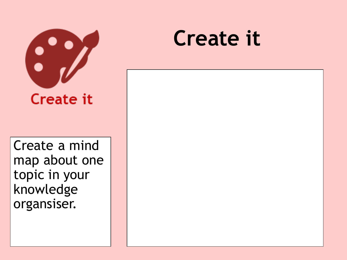

Create a mind map about one topic in your knowledge organsiser.

#### **Create it**